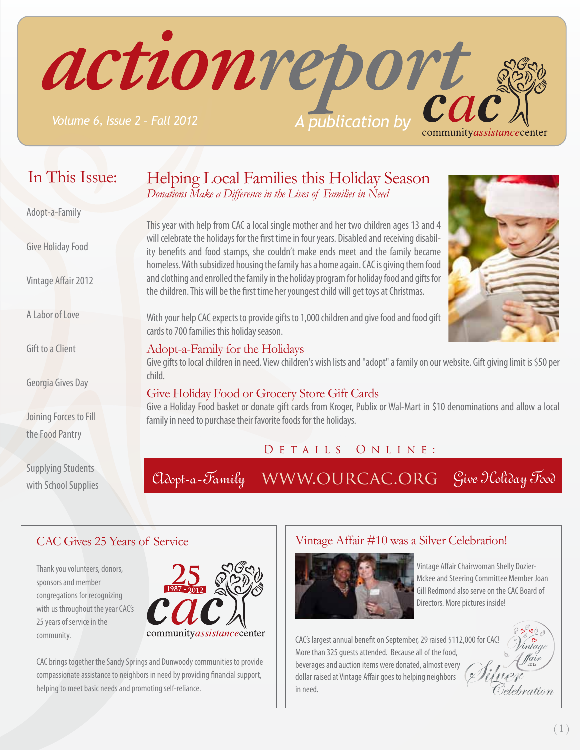*ACTIONTEDOTT* 

## Helping Local Families this Holiday Season *Donations Make a Difference in the Lives of Families in Need*

#### Adopt-a-Family

In This Issue:

Give Holiday Food

Vintage Affair 2012

A Labor of Love

Gift to a Client

Georgia Gives Day

Joining Forces to Fill the Food Pantry

Supplying Students with School Supplies This year with help from CAC a local single mother and her two children ages 13 and 4 will celebrate the holidays for the first time in four years. Disabled and receiving disability benefits and food stamps, she couldn't make ends meet and the family became

homeless. With subsidized housing the family has a home again. CAC is giving them food and clothing and enrolled the family in the holiday program for holiday food and gifts for the children. This will be the first time her youngest child will get toys at Christmas.



ommunityassistancecenter

With your help CAC expects to provide gifts to 1,000 children and give food and food gift cards to 700 families this holiday season.

#### Adopt-a-Family for the Holidays

Give gifts to local children in need. View children's wish lists and "adopt" a family on our website. Gift giving limit is \$50 per child.

#### Give Holiday Food or Grocery Store Gift Cards

Give a Holiday Food basket or donate gift cards from Kroger, Publix or Wal-Mart in \$10 denominations and allow a local family in need to purchase their favorite foods for the holidays.

#### D E T A I L S O N L I N E :

Adopt-a-Family www.ourcac.org Give Holiday Food

#### CAC Gives 25 Years of Service

Thank you volunteers, donors, sponsors and member congregations for recognizing with us throughout the year CAC's 25 years of service in the community.



CAC brings together the Sandy Springs and Dunwoody communities to provide compassionate assistance to neighbors in need by providing financial support, helping to meet basic needs and promoting self-reliance.

#### Vintage Affair #10 was a Silver Celebration!



Vintage Affair Chairwoman Shelly Dozier-Mckee and Steering Committee Member Joan Gill Redmond also serve on the CAC Board of Directors. More pictures inside!

CAC's largest annual benefit on September, 29 raised \$112,000 for CAC! More than 325 guests attended. Because all of the food, beverages and auction items were donated, almost every dollar raised at Vintage Affair goes to helping neighbors in need.

2012

Celebration

Vintag

ാ ര⊴് ത∆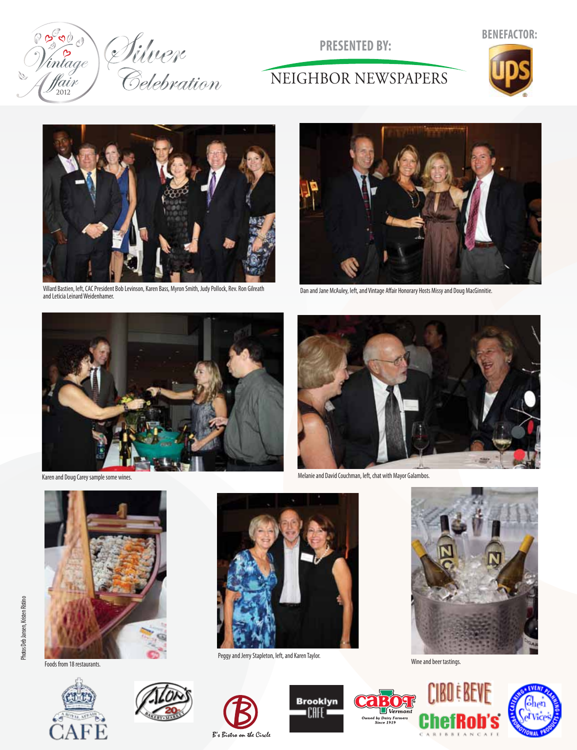Silver<br>Celebration  $\blacklozenge\varnothing$ 'intage Ø. fair<br><sup>2012</sup>

**PRESENTED BY:**

# NEIGHBOR NEWSPAPERS





Villard Bastien, left, CAC President Bob Levinson, Karen Bass, Myron Smith, Judy Pollock, Rev. Ron Gilreath Dan and Jane McAuley, left, and Vintage Affair Honorary Hosts Missy and Doug MacGinnitie.<br>and Leticia Leinard Weid





Karen and Doug Carey sample some wines.



Melanie and David Couchman, left, chat with Mayor Galambos.



Foods from 18 restaurants.







**Brooklyn** o CAFE.

Peggy and Jerry Stapleton, left, and Karen Taylor.

B's Bistro on the Circle



Wine and beer tastings.

 $\sqrt{\frac{1}{2}}$ 

**Owned by Dairy Farmers**<br>Since 1919





Photos Deb Jansen, Kristen Ristino

Photos Deb Jansen, Kristen Ristino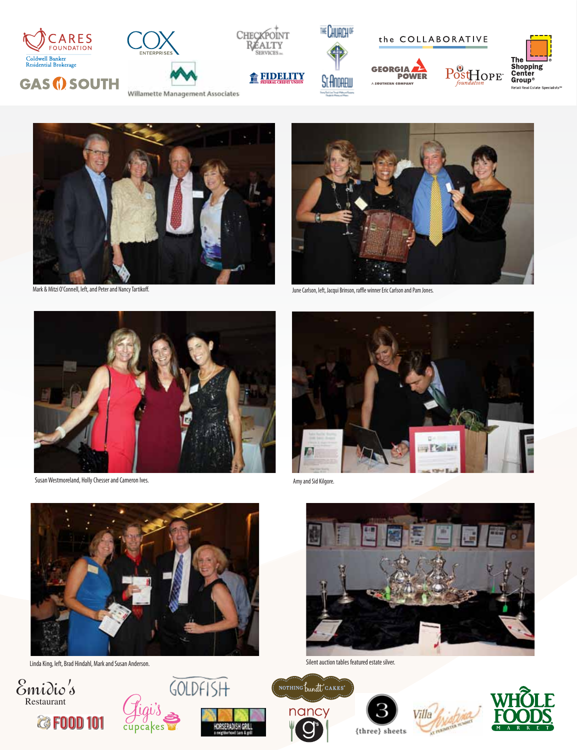





Mark & Mitzi O'Connell, left, and Peter and Nancy Tartikoff. **Mark American Carlson, and Pam Jones.** June Carlson, left, Jacqui Brinson, raffle winner Eric Carlson and Pam Jones.



Susan Westmoreland, Holly Chesser and Cameron Ives.



Amy and Sid Kilgore.



Linda King, left, Brad Hindahl, Mark and Susan Anderson.











Silent auction tables featured estate silver.



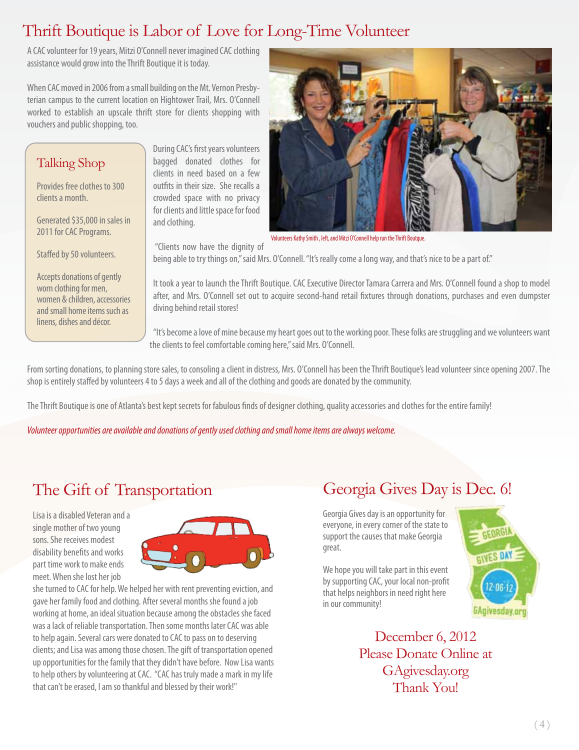# Thrift Boutique is Labor of Love for Long-Time Volunteer

A CAC volunteer for 19 years, Mitzi O'Connell never imagined CAC clothing assistance would grow into the Thrift Boutique it is today.

When CAC moved in 2006 from a small building on the Mt. Vernon Presbyterian campus to the current location on Hightower Trail, Mrs. O'Connell worked to establish an upscale thrift store for clients shopping with vouchers and public shopping, too.

## Talking Shop

Provides free clothes to 300 clients a month.

Generated \$35,000 in sales in 2011 for CAC Programs.

Staffed by 50 volunteers.

Accepts donations of gently worn clothing for men, women & children, accessories and small home items such as linens, dishes and décor.

During CAC's first years volunteers bagged donated clothes for clients in need based on a few outfits in their size. She recalls a crowded space with no privacy for clients and little space for food and clothing.



Volunteers Kathy Smith , left, and Mitzi O'Connell help run the Thrift Boutque.

"Clients now have the dignity of

being able to try things on," said Mrs. O'Connell. "It's really come a long way, and that's nice to be a part of."

It took a year to launch the Thrift Boutique. CAC Executive Director Tamara Carrera and Mrs. O'Connell found a shop to model after, and Mrs. O'Connell set out to acquire second-hand retail fixtures through donations, purchases and even dumpster diving behind retail stores!

"It's become a love of mine because my heart goes out to the working poor. These folks are struggling and we volunteers want the clients to feel comfortable coming here," said Mrs. O'Connell.

From sorting donations, to planning store sales, to consoling a client in distress, Mrs. O'Connell has been the Thrift Boutique's lead volunteer since opening 2007. The shop is entirely staffed by volunteers 4 to 5 days a week and all of the clothing and goods are donated by the community.

The Thrift Boutique is one of Atlanta's best kept secrets for fabulous finds of designer clothing, quality accessories and clothes for the entire family!

*Volunteer opportunities are available and donations of gently used clothing and small home items are always welcome.* 

# The Gift of Transportation

Lisa is a disabled Veteran and a single mother of two young sons. She receives modest disability benefits and works part time work to make ends meet. When she lost her job



she turned to CAC for help. We helped her with rent preventing eviction, and gave her family food and clothing. After several months she found a job working at home, an ideal situation because among the obstacles she faced was a lack of reliable transportation. Then some months later CAC was able to help again. Several cars were donated to CAC to pass on to deserving clients; and Lisa was among those chosen. The gift of transportation opened up opportunities for the family that they didn't have before. Now Lisa wants to help others by volunteering at CAC. "CAC has truly made a mark in my life that can't be erased, I am so thankful and blessed by their work!"

# Georgia Gives Day is Dec. 6!

Georgia Gives day is an opportunity for everyone, in every corner of the state to support the causes that make Georgia great.

We hope you will take part in this event by supporting CAC, your local non-profit that helps neighbors in need right here in our community!

> December 6, 2012 Please Donate Online at GAgivesday.org Thank You!

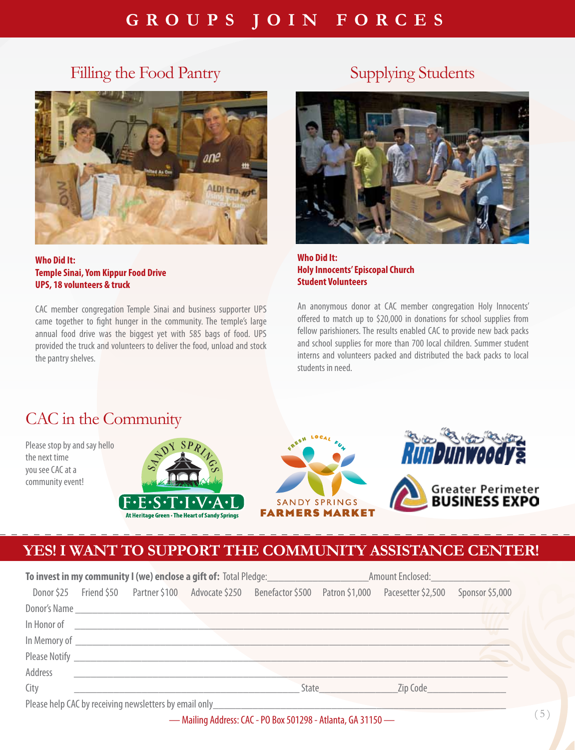# Filling the Food Pantry Supplying Students



**Who Did It: Temple Sinai, Yom Kippur Food Drive UPS, 18 volunteers & truck**

CAC member congregation Temple Sinai and business supporter UPS came together to fight hunger in the community. The temple's large annual food drive was the biggest yet with 585 bags of food. UPS provided the truck and volunteers to deliver the food, unload and stock the pantry shelves.



**Who Did It: Holy Innocents' Episcopal Church Student Volunteers**

An anonymous donor at CAC member congregation Holy Innocents' offered to match up to \$20,000 in donations for school supplies from fellow parishioners. The results enabled CAC to provide new back packs and school supplies for more than 700 local children. Summer student interns and volunteers packed and distributed the back packs to local students in need.

## CAC in the Community

Please stop by and say hello the next time you see CAC at a community event!







## **YES! I WANT TO SUPPORT THE COMMUNITY ASSISTANCE CENTER!**

| To invest in my community I (we) enclose a gift of: Total Pledge:<br><u>The invest in my community I (we) enclose a gift of: Total Pledge:</u> |  |                             |                                                                                                                                                                                                                                |                                                                                   | Amount Enclosed: Amount 2014   |                                                                                 |                 |
|------------------------------------------------------------------------------------------------------------------------------------------------|--|-----------------------------|--------------------------------------------------------------------------------------------------------------------------------------------------------------------------------------------------------------------------------|-----------------------------------------------------------------------------------|--------------------------------|---------------------------------------------------------------------------------|-----------------|
|                                                                                                                                                |  |                             |                                                                                                                                                                                                                                | Donor \$25 Friend \$50 Partner \$100 Advocate \$250 Benefactor \$500              | Patron \$1,000                 | Pacesetter \$2,500                                                              | Sponsor \$5,000 |
|                                                                                                                                                |  |                             |                                                                                                                                                                                                                                |                                                                                   |                                |                                                                                 |                 |
|                                                                                                                                                |  |                             | In Honor of the contract of the contract of the contract of the contract of the contract of the contract of the contract of the contract of the contract of the contract of the contract of the contract of the contract of th |                                                                                   |                                |                                                                                 |                 |
| In Memory of New York Charles Control                                                                                                          |  |                             |                                                                                                                                                                                                                                |                                                                                   |                                |                                                                                 |                 |
|                                                                                                                                                |  | Please Notify Please Notify |                                                                                                                                                                                                                                |                                                                                   |                                |                                                                                 |                 |
| Address                                                                                                                                        |  |                             |                                                                                                                                                                                                                                |                                                                                   |                                |                                                                                 |                 |
| City                                                                                                                                           |  |                             |                                                                                                                                                                                                                                |                                                                                   | State <b>State State State</b> | Zip Code                                                                        |                 |
|                                                                                                                                                |  |                             |                                                                                                                                                                                                                                | Please help CAC by receiving newsletters by email only___________________________ |                                | the contract of the contract of the contract of the contract of the contract of |                 |
| it is a state of the contract of the contract of the second state of the second of the second of the second of                                 |  |                             |                                                                                                                                                                                                                                |                                                                                   |                                |                                                                                 |                 |

— Mailing Address: CAC - PO Box 501298 - Atlanta, GA 31150 —